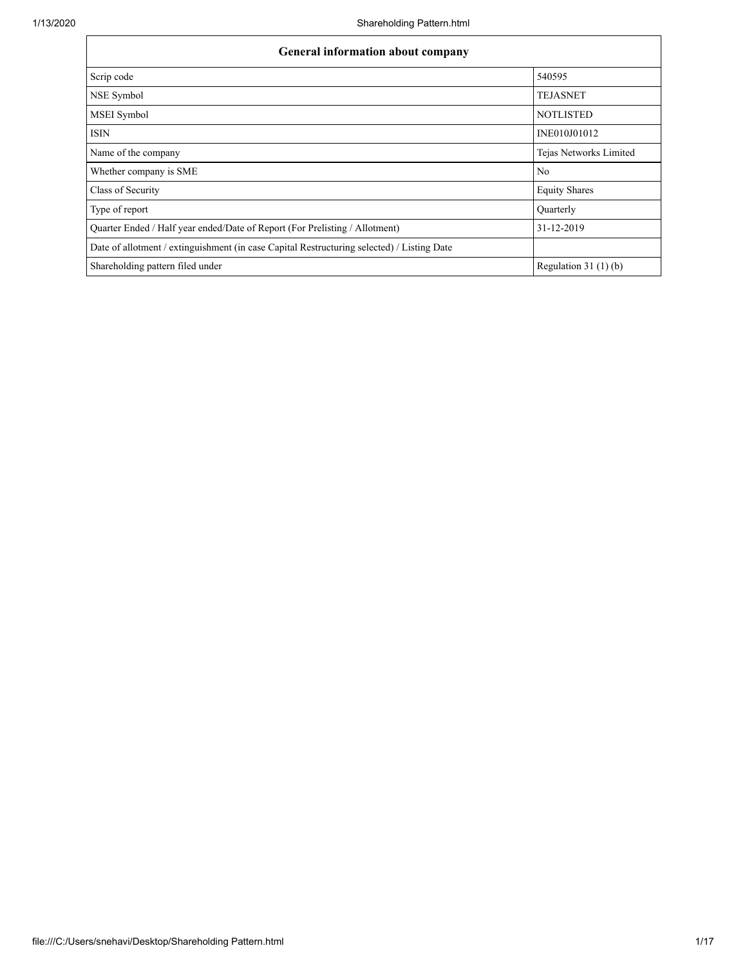| <b>General information about company</b>                                                   |                        |  |  |  |  |  |
|--------------------------------------------------------------------------------------------|------------------------|--|--|--|--|--|
| Scrip code                                                                                 | 540595                 |  |  |  |  |  |
| NSE Symbol                                                                                 | <b>TEJASNET</b>        |  |  |  |  |  |
| MSEI Symbol                                                                                | <b>NOTLISTED</b>       |  |  |  |  |  |
| <b>ISIN</b>                                                                                | INE010J01012           |  |  |  |  |  |
| Name of the company                                                                        | Tejas Networks Limited |  |  |  |  |  |
| Whether company is SME                                                                     | No                     |  |  |  |  |  |
| Class of Security                                                                          | <b>Equity Shares</b>   |  |  |  |  |  |
| Type of report                                                                             | Quarterly              |  |  |  |  |  |
| Quarter Ended / Half year ended/Date of Report (For Prelisting / Allotment)                | 31-12-2019             |  |  |  |  |  |
| Date of allotment / extinguishment (in case Capital Restructuring selected) / Listing Date |                        |  |  |  |  |  |
| Shareholding pattern filed under                                                           | Regulation $31(1)(b)$  |  |  |  |  |  |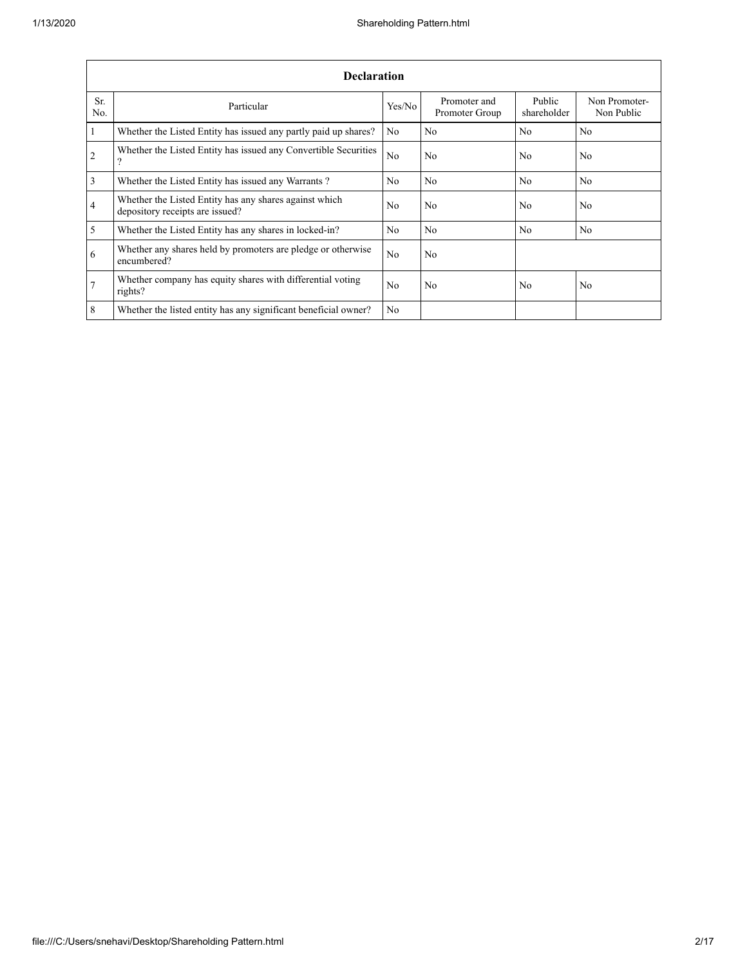|                         | <b>Declaration</b>                                                                        |                |                                |                       |                             |  |  |  |  |
|-------------------------|-------------------------------------------------------------------------------------------|----------------|--------------------------------|-----------------------|-----------------------------|--|--|--|--|
| Sr.<br>No.              | Particular                                                                                | Yes/No         | Promoter and<br>Promoter Group | Public<br>shareholder | Non Promoter-<br>Non Public |  |  |  |  |
| $\vert$ 1               | Whether the Listed Entity has issued any partly paid up shares?                           | No             | No                             | N <sub>o</sub>        | No                          |  |  |  |  |
| $\overline{2}$          | Whether the Listed Entity has issued any Convertible Securities<br>9                      | No             | No                             | No                    | No                          |  |  |  |  |
| $\overline{\mathbf{3}}$ | Whether the Listed Entity has issued any Warrants?                                        | No             | No                             | No                    | N <sub>o</sub>              |  |  |  |  |
| $\overline{4}$          | Whether the Listed Entity has any shares against which<br>depository receipts are issued? | N <sub>0</sub> | No                             | No                    | N <sub>0</sub>              |  |  |  |  |
| $\overline{5}$          | Whether the Listed Entity has any shares in locked-in?                                    | No             | No                             | No                    | N <sub>o</sub>              |  |  |  |  |
| 6                       | Whether any shares held by promoters are pledge or otherwise<br>encumbered?               | N <sub>0</sub> | N <sub>0</sub>                 |                       |                             |  |  |  |  |
| $7\overline{ }$         | Whether company has equity shares with differential voting<br>rights?                     | N <sub>0</sub> | N <sub>0</sub>                 | No                    | N <sub>o</sub>              |  |  |  |  |
| 8                       | Whether the listed entity has any significant beneficial owner?                           | No             |                                |                       |                             |  |  |  |  |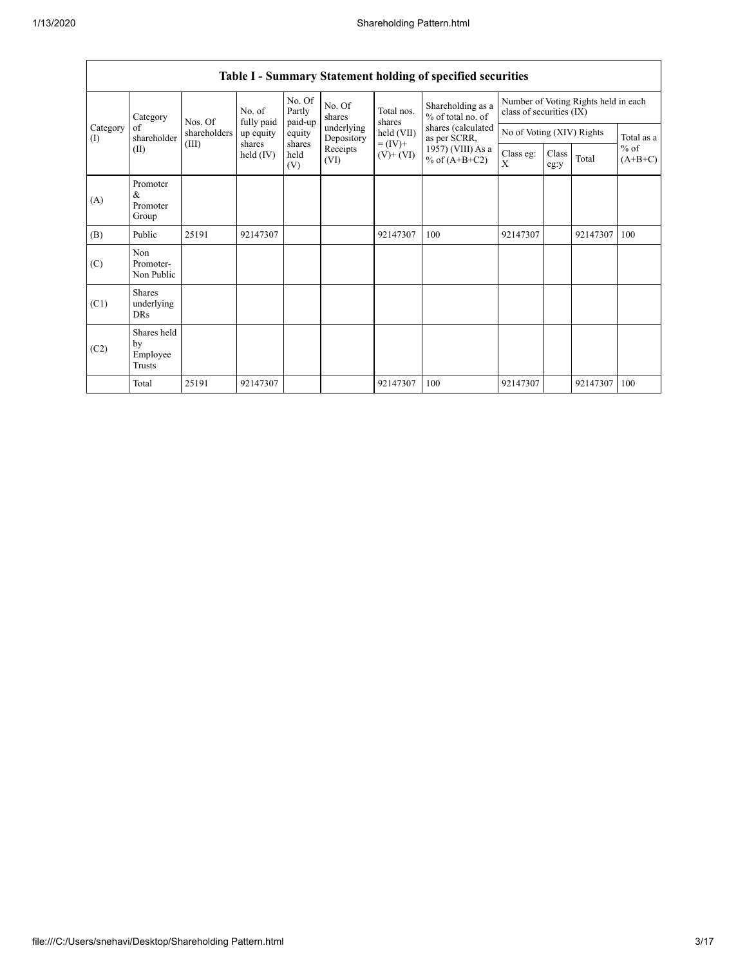|                 | Category                                                                                                          | Nos. Of                              | No. of<br>fully paid | No. Of<br>Partly<br>paid-up | No. Of<br>shares         | Total nos.<br>shares | Shareholding as a<br>% of total no. of | Number of Voting Rights held in each<br>class of securities (IX) |  |          |            |
|-----------------|-------------------------------------------------------------------------------------------------------------------|--------------------------------------|----------------------|-----------------------------|--------------------------|----------------------|----------------------------------------|------------------------------------------------------------------|--|----------|------------|
| Category<br>(I) | of<br>shareholder                                                                                                 | shareholders                         | up equity            | equity                      | underlying<br>Depository | held (VII)           | shares (calculated<br>as per SCRR,     | No of Voting (XIV) Rights                                        |  |          | Total as a |
|                 | $= (IV) +$<br>(III)<br>shares<br>shares<br>Receipts<br>(II)<br>held (IV)<br>held<br>$(V)$ + $(VI)$<br>(VI)<br>(V) | 1957) (VIII) As a<br>% of $(A+B+C2)$ | Class eg:<br>X       | Class<br>eg:y               | Total                    | $%$ of<br>$(A+B+C)$  |                                        |                                                                  |  |          |            |
| (A)             | Promoter<br>&<br>Promoter<br>Group                                                                                |                                      |                      |                             |                          |                      |                                        |                                                                  |  |          |            |
| (B)             | Public                                                                                                            | 25191                                | 92147307             |                             |                          | 92147307             | 100                                    | 92147307                                                         |  | 92147307 | 100        |
| (C)             | Non<br>Promoter-<br>Non Public                                                                                    |                                      |                      |                             |                          |                      |                                        |                                                                  |  |          |            |
| (C1)            | <b>Shares</b><br>underlying<br>DRs                                                                                |                                      |                      |                             |                          |                      |                                        |                                                                  |  |          |            |
| (C2)            | Shares held<br>by<br>Employee<br>Trusts                                                                           |                                      |                      |                             |                          |                      |                                        |                                                                  |  |          |            |
|                 | Total                                                                                                             | 25191                                | 92147307             |                             |                          | 92147307             | 100                                    | 92147307                                                         |  | 92147307 | 100        |

## **Table I - Summary Statement holding of specified securities**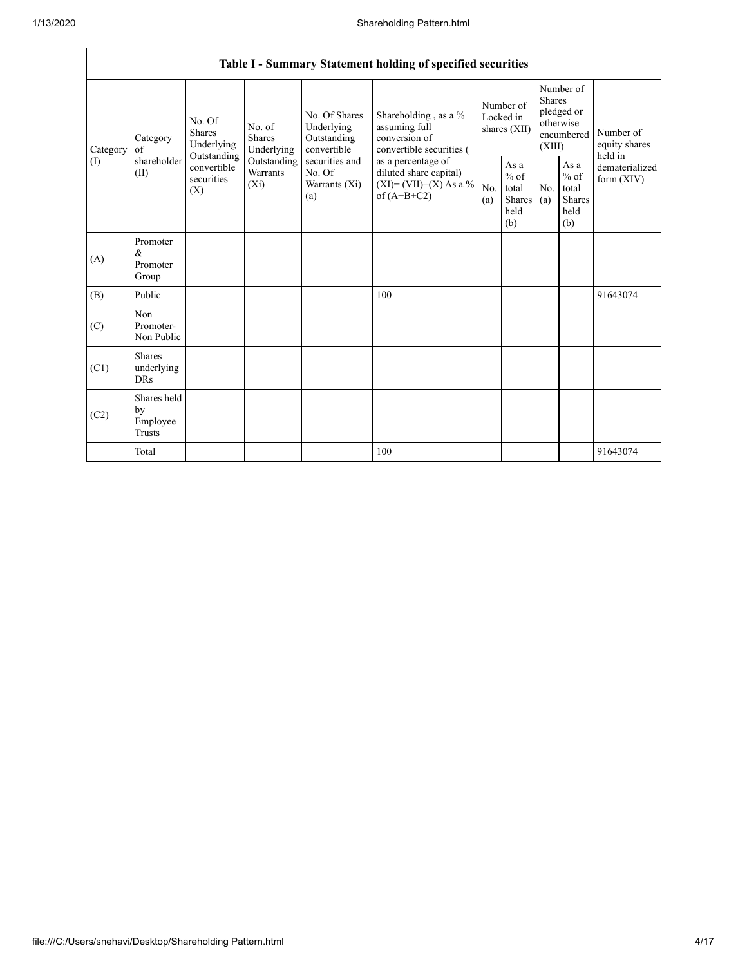|          | Table I - Summary Statement holding of specified securities                                                                                                                                                                                                                                                                                                                                  |                                                                                                                             |            |                                                  |            |                                                         |                                |                                                                        |  |                                       |
|----------|----------------------------------------------------------------------------------------------------------------------------------------------------------------------------------------------------------------------------------------------------------------------------------------------------------------------------------------------------------------------------------------------|-----------------------------------------------------------------------------------------------------------------------------|------------|--------------------------------------------------|------------|---------------------------------------------------------|--------------------------------|------------------------------------------------------------------------|--|---------------------------------------|
| Category | No. Of Shares<br>No. Of<br>assuming full<br>Underlying<br>No. of<br><b>Shares</b><br>conversion of<br><b>Shares</b><br>Outstanding<br>Category<br>Underlying<br>convertible<br>Underlying<br>$\alpha$ f<br>Outstanding<br>shareholder<br>securities and<br>Outstanding<br>convertible<br>Warrants<br>No. Of<br>(II)<br>securities<br>$(X_i)$<br>Warrants (Xi)<br>(X)<br>of $(A+B+C2)$<br>(a) | Shareholding, as a %<br>convertible securities (<br>as a percentage of<br>diluted share capital)<br>$(XI)=(VII)+(X) As a %$ |            |                                                  |            | Number of<br>Locked in<br>shares (XII)                  |                                | Number of<br>Shares<br>pledged or<br>otherwise<br>encumbered<br>(XIII) |  | Number of<br>equity shares<br>held in |
| (1)      |                                                                                                                                                                                                                                                                                                                                                                                              |                                                                                                                             | No.<br>(a) | As a<br>$%$ of<br>total<br>Shares<br>held<br>(b) | No.<br>(a) | As a<br>$%$ of<br>total<br><b>Shares</b><br>held<br>(b) | dematerialized<br>form $(XIV)$ |                                                                        |  |                                       |
| (A)      | Promoter<br>&<br>Promoter<br>Group                                                                                                                                                                                                                                                                                                                                                           |                                                                                                                             |            |                                                  |            |                                                         |                                |                                                                        |  |                                       |
| (B)      | Public                                                                                                                                                                                                                                                                                                                                                                                       |                                                                                                                             |            |                                                  | 100        |                                                         |                                |                                                                        |  | 91643074                              |
| (C)      | Non<br>Promoter-<br>Non Public                                                                                                                                                                                                                                                                                                                                                               |                                                                                                                             |            |                                                  |            |                                                         |                                |                                                                        |  |                                       |
| (C1)     | <b>Shares</b><br>underlying<br><b>DRs</b>                                                                                                                                                                                                                                                                                                                                                    |                                                                                                                             |            |                                                  |            |                                                         |                                |                                                                        |  |                                       |
| (C2)     | Shares held<br>by<br>Employee<br>Trusts                                                                                                                                                                                                                                                                                                                                                      |                                                                                                                             |            |                                                  |            |                                                         |                                |                                                                        |  |                                       |
|          | Total                                                                                                                                                                                                                                                                                                                                                                                        |                                                                                                                             |            |                                                  | 100        |                                                         |                                |                                                                        |  | 91643074                              |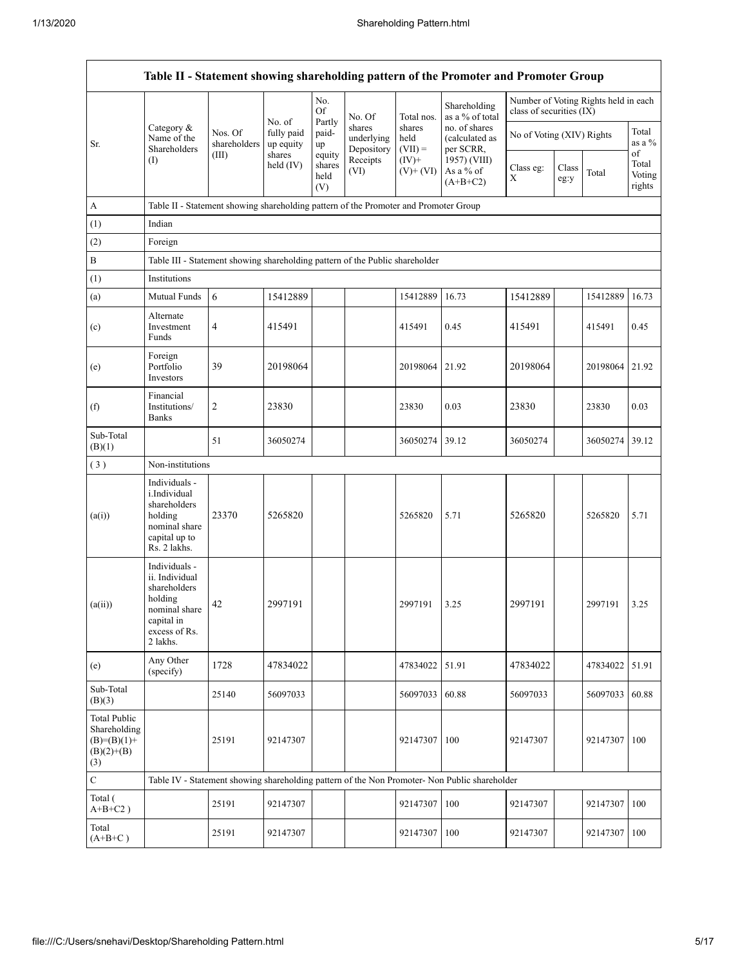|                                                                      |                                                                                                                        |                         |                                   |                                 |                                    |                             | Table II - Statement showing shareholding pattern of the Promoter and Promoter Group          |                           |               |                                      |                                 |
|----------------------------------------------------------------------|------------------------------------------------------------------------------------------------------------------------|-------------------------|-----------------------------------|---------------------------------|------------------------------------|-----------------------------|-----------------------------------------------------------------------------------------------|---------------------------|---------------|--------------------------------------|---------------------------------|
|                                                                      |                                                                                                                        |                         |                                   | No.<br>Of                       | No. Of                             | Total nos.                  | Shareholding<br>as a % of total                                                               | class of securities (IX)  |               | Number of Voting Rights held in each |                                 |
| Sr.                                                                  | Category &<br>Name of the<br>Shareholders                                                                              | Nos. Of<br>shareholders | No. of<br>fully paid<br>up equity | Partly<br>paid-<br>up           | shares<br>underlying<br>Depository | shares<br>held<br>$(VII) =$ | no. of shares<br>(calculated as<br>per SCRR,                                                  | No of Voting (XIV) Rights |               |                                      | Total<br>as a %                 |
|                                                                      | (I)                                                                                                                    | (III)                   | shares<br>held (IV)               | equity<br>shares<br>held<br>(V) | Receipts<br>(VI)                   | $(IV)+$<br>$(V)$ + $(VI)$   | 1957) (VIII)<br>As a % of<br>$(A+B+C2)$                                                       | Class eg:<br>Χ            | Class<br>eg:y | Total                                | of<br>Total<br>Voting<br>rights |
| A                                                                    | Table II - Statement showing shareholding pattern of the Promoter and Promoter Group                                   |                         |                                   |                                 |                                    |                             |                                                                                               |                           |               |                                      |                                 |
| (1)                                                                  | Indian                                                                                                                 |                         |                                   |                                 |                                    |                             |                                                                                               |                           |               |                                      |                                 |
| (2)                                                                  | Foreign                                                                                                                |                         |                                   |                                 |                                    |                             |                                                                                               |                           |               |                                      |                                 |
| B                                                                    | Table III - Statement showing shareholding pattern of the Public shareholder                                           |                         |                                   |                                 |                                    |                             |                                                                                               |                           |               |                                      |                                 |
| (1)                                                                  | Institutions                                                                                                           |                         |                                   |                                 |                                    |                             |                                                                                               |                           |               |                                      |                                 |
| (a)                                                                  | Mutual Funds                                                                                                           | 6                       | 15412889                          |                                 |                                    | 15412889                    | 16.73                                                                                         | 15412889                  |               | 15412889                             | 16.73                           |
| (c)                                                                  | Alternate<br>Investment<br>Funds                                                                                       | 4                       | 415491                            |                                 |                                    | 415491                      | 0.45                                                                                          | 415491                    |               | 415491                               | 0.45                            |
| (e)                                                                  | Foreign<br>Portfolio<br>Investors                                                                                      | 39                      | 20198064                          |                                 |                                    | 20198064                    | 21.92                                                                                         | 20198064                  |               | 20198064                             | 21.92                           |
| (f)                                                                  | Financial<br>Institutions/<br><b>Banks</b>                                                                             | 2                       | 23830                             |                                 |                                    | 23830                       | 0.03                                                                                          | 23830                     |               | 23830                                | 0.03                            |
| Sub-Total<br>(B)(1)                                                  |                                                                                                                        | 51                      | 36050274                          |                                 |                                    | 36050274                    | 39.12                                                                                         | 36050274                  |               | 36050274                             | 39.12                           |
| (3)                                                                  | Non-institutions                                                                                                       |                         |                                   |                                 |                                    |                             |                                                                                               |                           |               |                                      |                                 |
| (a(i))                                                               | Individuals -<br>i.Individual<br>shareholders<br>holding<br>nominal share<br>capital up to<br>Rs. 2 lakhs.             | 23370                   | 5265820                           |                                 |                                    | 5265820                     | 5.71                                                                                          | 5265820                   |               | 5265820                              | 5.71                            |
| (a(ii))                                                              | Individuals -<br>ii. Individual<br>shareholders<br>holding<br>nominal share<br>capital in<br>excess of Rs.<br>2 lakhs. | 42                      | 2997191                           |                                 |                                    | 2997191                     | 3.25                                                                                          | 2997191                   |               | 2997191                              | 3.25                            |
| (e)                                                                  | Any Other<br>(specify)                                                                                                 | 1728                    | 47834022                          |                                 |                                    | 47834022                    | 51.91                                                                                         | 47834022                  |               | 47834022                             | 51.91                           |
| Sub-Total<br>(B)(3)                                                  |                                                                                                                        | 25140                   | 56097033                          |                                 |                                    | 56097033                    | 60.88                                                                                         | 56097033                  |               | 56097033                             | 60.88                           |
| Total Public<br>Shareholding<br>$(B)=(B)(1)+$<br>$(B)(2)+(B)$<br>(3) |                                                                                                                        | 25191                   | 92147307                          |                                 |                                    | 92147307                    | 100                                                                                           | 92147307                  |               | 92147307                             | 100                             |
| $\mathbf C$                                                          |                                                                                                                        |                         |                                   |                                 |                                    |                             | Table IV - Statement showing shareholding pattern of the Non Promoter- Non Public shareholder |                           |               |                                      |                                 |
| Total (<br>$A+B+C2$ )                                                |                                                                                                                        | 25191                   | 92147307                          |                                 |                                    | 92147307                    | 100                                                                                           | 92147307                  |               | 92147307                             | 100                             |
| Total<br>$(A+B+C)$                                                   |                                                                                                                        | 25191                   | 92147307                          |                                 |                                    | 92147307                    | 100                                                                                           | 92147307                  |               | 92147307                             | 100                             |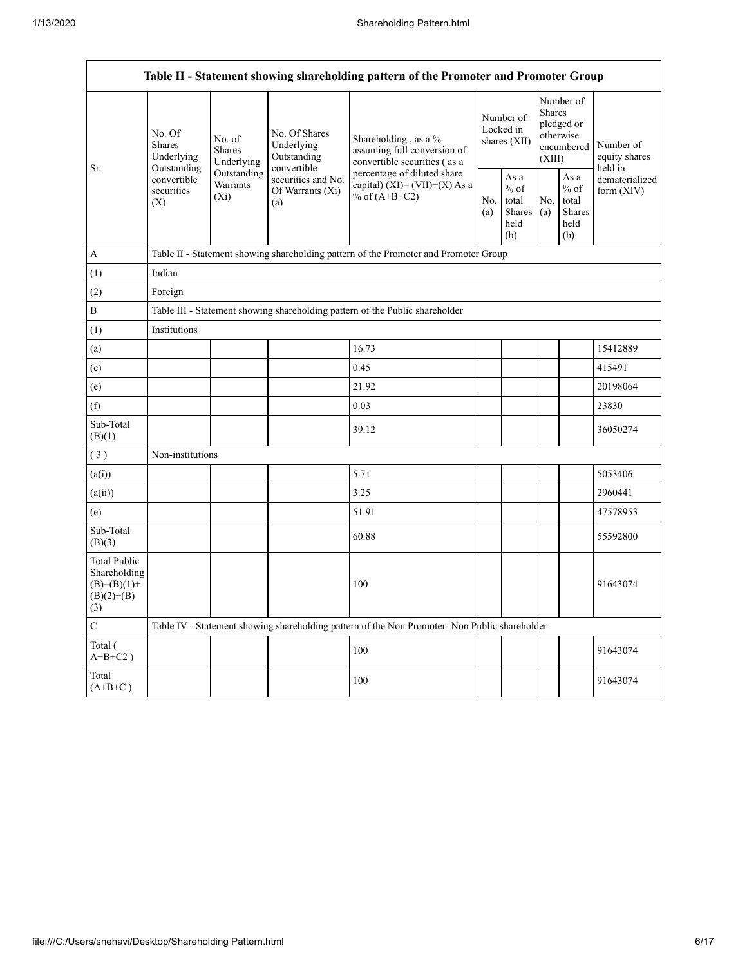Г

|                                                                             | Table II - Statement showing shareholding pattern of the Promoter and Promoter Group     |                                                                                                    |                                            |                                                                                                  |  |                                                         |            |                                                                               |                                       |  |
|-----------------------------------------------------------------------------|------------------------------------------------------------------------------------------|----------------------------------------------------------------------------------------------------|--------------------------------------------|--------------------------------------------------------------------------------------------------|--|---------------------------------------------------------|------------|-------------------------------------------------------------------------------|---------------------------------------|--|
| Sr.                                                                         | No. Of<br><b>Shares</b><br>Underlying<br>Outstanding<br>convertible<br>securities<br>(X) | No. of<br><b>Shares</b><br>Underlying                                                              | No. Of Shares<br>Underlying<br>Outstanding | Shareholding, as a %<br>assuming full conversion of<br>convertible securities (as a              |  | Number of<br>Locked in<br>shares (XII)                  |            | Number of<br><b>Shares</b><br>pledged or<br>otherwise<br>encumbered<br>(XIII) | Number of<br>equity shares<br>held in |  |
|                                                                             |                                                                                          | convertible<br>Outstanding<br>securities and No.<br>Warrants<br>Of Warrants (Xi)<br>$(X_i)$<br>(a) |                                            | percentage of diluted share<br>capital) $(XI) = (VII)+(X)$ As a<br>% of $(A+B+C2)$<br>No.<br>(a) |  | As a<br>$%$ of<br>total<br><b>Shares</b><br>held<br>(b) | No.<br>(a) | As a<br>$%$ of<br>total<br>Shares<br>held<br>(b)                              | dematerialized<br>form $(XIV)$        |  |
| A                                                                           |                                                                                          | Table II - Statement showing shareholding pattern of the Promoter and Promoter Group               |                                            |                                                                                                  |  |                                                         |            |                                                                               |                                       |  |
| (1)                                                                         | Indian                                                                                   |                                                                                                    |                                            |                                                                                                  |  |                                                         |            |                                                                               |                                       |  |
| (2)                                                                         | Foreign                                                                                  |                                                                                                    |                                            |                                                                                                  |  |                                                         |            |                                                                               |                                       |  |
| B                                                                           |                                                                                          | Table III - Statement showing shareholding pattern of the Public shareholder                       |                                            |                                                                                                  |  |                                                         |            |                                                                               |                                       |  |
| (1)                                                                         | Institutions                                                                             |                                                                                                    |                                            |                                                                                                  |  |                                                         |            |                                                                               |                                       |  |
| (a)                                                                         |                                                                                          |                                                                                                    |                                            | 16.73                                                                                            |  |                                                         |            |                                                                               | 15412889                              |  |
| (c)                                                                         |                                                                                          |                                                                                                    |                                            | 0.45                                                                                             |  |                                                         |            |                                                                               | 415491                                |  |
| (e)                                                                         |                                                                                          |                                                                                                    |                                            | 21.92                                                                                            |  |                                                         |            |                                                                               | 20198064                              |  |
| (f)                                                                         |                                                                                          |                                                                                                    |                                            | 0.03                                                                                             |  |                                                         |            |                                                                               | 23830                                 |  |
| Sub-Total<br>(B)(1)                                                         |                                                                                          |                                                                                                    |                                            | 39.12                                                                                            |  |                                                         |            |                                                                               | 36050274                              |  |
| (3)                                                                         | Non-institutions                                                                         |                                                                                                    |                                            |                                                                                                  |  |                                                         |            |                                                                               |                                       |  |
| (a(i))                                                                      |                                                                                          |                                                                                                    |                                            | 5.71                                                                                             |  |                                                         |            |                                                                               | 5053406                               |  |
| (a(ii))                                                                     |                                                                                          |                                                                                                    |                                            | 3.25                                                                                             |  |                                                         |            |                                                                               | 2960441                               |  |
| (e)                                                                         |                                                                                          |                                                                                                    |                                            | 51.91                                                                                            |  |                                                         |            |                                                                               | 47578953                              |  |
| Sub-Total<br>(B)(3)                                                         |                                                                                          |                                                                                                    |                                            | 60.88                                                                                            |  |                                                         |            |                                                                               | 55592800                              |  |
| <b>Total Public</b><br>Shareholding<br>$(B)=(B)(1)+$<br>$(B)(2)+(B)$<br>(3) |                                                                                          |                                                                                                    |                                            | 100                                                                                              |  |                                                         |            |                                                                               | 91643074                              |  |
| С                                                                           |                                                                                          |                                                                                                    |                                            | Table IV - Statement showing shareholding pattern of the Non Promoter- Non Public shareholder    |  |                                                         |            |                                                                               |                                       |  |
| Total (<br>$A+B+C2$ )                                                       |                                                                                          |                                                                                                    |                                            | 100                                                                                              |  |                                                         |            |                                                                               | 91643074                              |  |
| Total<br>$(A+B+C)$                                                          |                                                                                          |                                                                                                    |                                            | 100                                                                                              |  |                                                         |            |                                                                               | 91643074                              |  |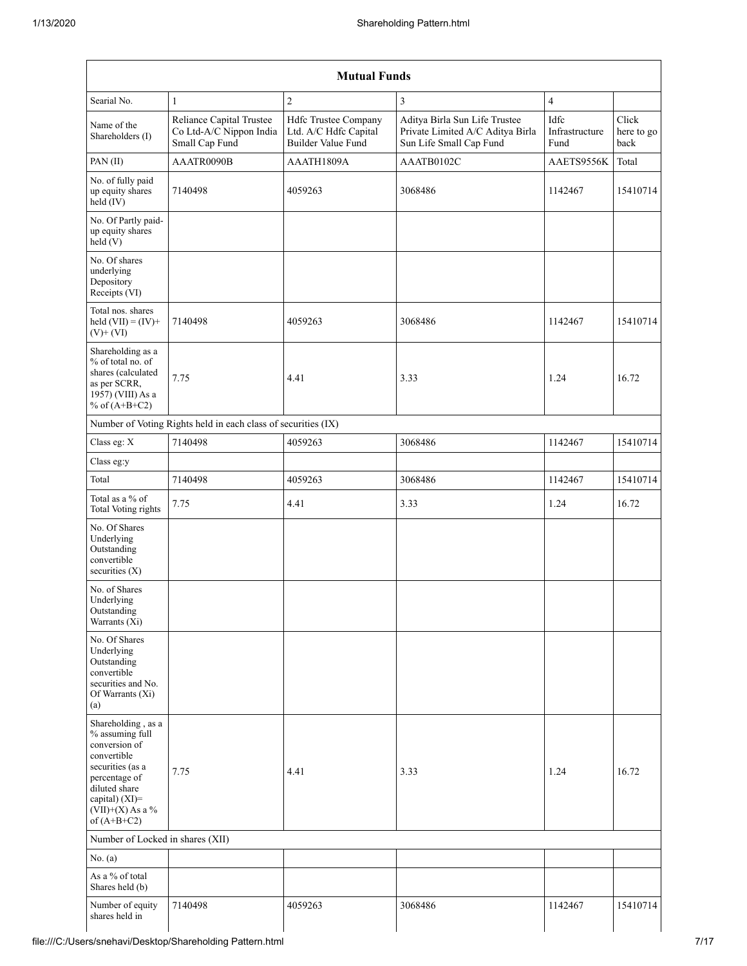| <b>Mutual Funds</b>                                                                                                                                                                  |                                                                       |                                                                     |                                                                                              |                                |                             |  |  |  |
|--------------------------------------------------------------------------------------------------------------------------------------------------------------------------------------|-----------------------------------------------------------------------|---------------------------------------------------------------------|----------------------------------------------------------------------------------------------|--------------------------------|-----------------------------|--|--|--|
| Searial No.                                                                                                                                                                          | 1                                                                     | $\overline{c}$                                                      | 3                                                                                            | $\overline{4}$                 |                             |  |  |  |
| Name of the<br>Shareholders (I)                                                                                                                                                      | Reliance Capital Trustee<br>Co Ltd-A/C Nippon India<br>Small Cap Fund | Hdfc Trustee Company<br>Ltd. A/C Hdfc Capital<br>Builder Value Fund | Aditya Birla Sun Life Trustee<br>Private Limited A/C Aditya Birla<br>Sun Life Small Cap Fund | Idfc<br>Infrastructure<br>Fund | Click<br>here to go<br>back |  |  |  |
| PAN (II)                                                                                                                                                                             | AAATR0090B                                                            | AAATH1809A                                                          | AAATB0102C                                                                                   | AAETS9556K                     | Total                       |  |  |  |
| No. of fully paid<br>up equity shares<br>$held$ (IV)                                                                                                                                 | 7140498                                                               | 4059263                                                             | 3068486                                                                                      | 1142467                        | 15410714                    |  |  |  |
| No. Of Partly paid-<br>up equity shares<br>held(V)                                                                                                                                   |                                                                       |                                                                     |                                                                                              |                                |                             |  |  |  |
| No. Of shares<br>underlying<br>Depository<br>Receipts (VI)                                                                                                                           |                                                                       |                                                                     |                                                                                              |                                |                             |  |  |  |
| Total nos. shares<br>held $(VII) = (IV) +$<br>$(V)$ + $(VI)$                                                                                                                         | 7140498                                                               | 4059263                                                             | 3068486                                                                                      | 1142467                        | 15410714                    |  |  |  |
| Shareholding as a<br>% of total no. of<br>shares (calculated<br>as per SCRR,<br>1957) (VIII) As a<br>% of $(A+B+C2)$                                                                 | 7.75                                                                  | 4.41                                                                | 3.33                                                                                         | 1.24                           | 16.72                       |  |  |  |
|                                                                                                                                                                                      | Number of Voting Rights held in each class of securities (IX)         |                                                                     |                                                                                              |                                |                             |  |  |  |
| Class eg: X                                                                                                                                                                          | 7140498                                                               | 4059263                                                             | 3068486                                                                                      | 1142467                        | 15410714                    |  |  |  |
| Class eg:y                                                                                                                                                                           |                                                                       |                                                                     |                                                                                              |                                |                             |  |  |  |
| Total                                                                                                                                                                                | 7140498                                                               | 4059263                                                             | 3068486                                                                                      | 1142467                        | 15410714                    |  |  |  |
| Total as a % of<br>Total Voting rights                                                                                                                                               | 7.75                                                                  | 4.41                                                                | 3.33                                                                                         | 1.24                           | 16.72                       |  |  |  |
| No. Of Shares<br>Underlying<br>Outstanding<br>convertible<br>securities (X)                                                                                                          |                                                                       |                                                                     |                                                                                              |                                |                             |  |  |  |
| No. of Shares<br>Underlying<br>Outstanding<br>Warrants $(X_i)$                                                                                                                       |                                                                       |                                                                     |                                                                                              |                                |                             |  |  |  |
| No. Of Shares<br>Underlying<br>Outstanding<br>convertible<br>securities and No.<br>Of Warrants (Xi)<br>(a)                                                                           |                                                                       |                                                                     |                                                                                              |                                |                             |  |  |  |
| Shareholding, as a<br>% assuming full<br>conversion of<br>convertible<br>securities (as a<br>percentage of<br>diluted share<br>capital) (XI)=<br>$(VII)+(X)$ As a %<br>of $(A+B+C2)$ | 7.75                                                                  | 4.41                                                                | 3.33                                                                                         | 1.24                           | 16.72                       |  |  |  |
| Number of Locked in shares (XII)                                                                                                                                                     |                                                                       |                                                                     |                                                                                              |                                |                             |  |  |  |
| No. (a)                                                                                                                                                                              |                                                                       |                                                                     |                                                                                              |                                |                             |  |  |  |
| As a % of total<br>Shares held (b)                                                                                                                                                   |                                                                       |                                                                     |                                                                                              |                                |                             |  |  |  |
| Number of equity<br>shares held in                                                                                                                                                   | 7140498                                                               | 4059263                                                             | 3068486                                                                                      | 1142467                        | 15410714                    |  |  |  |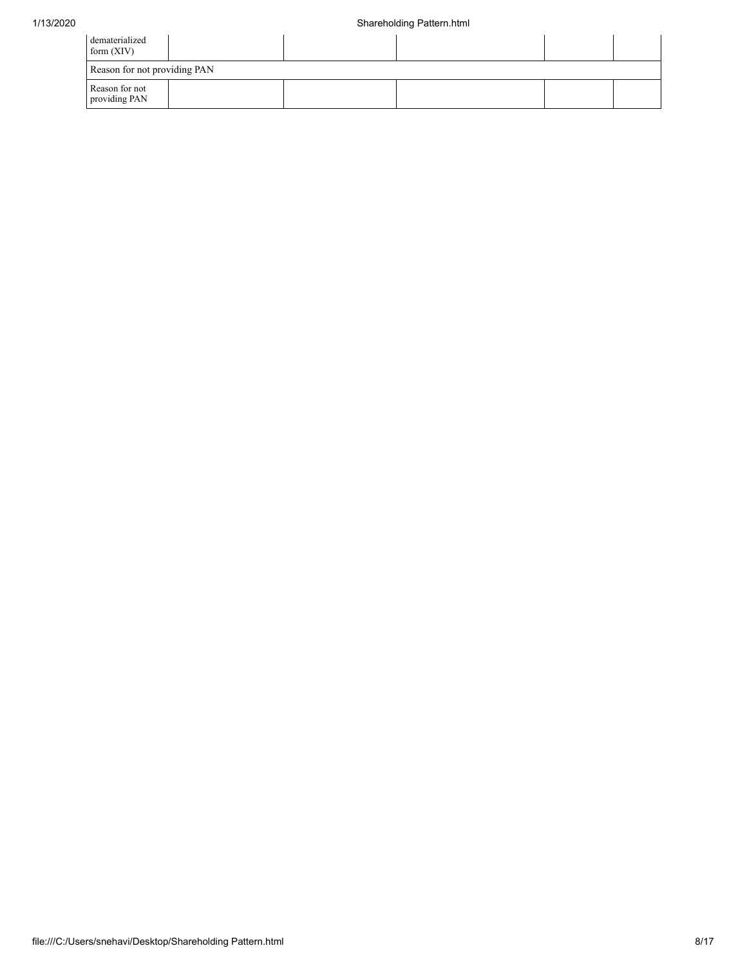| dematerialized<br>form $(XIV)$  |  |  |  |  |  |  |  |  |
|---------------------------------|--|--|--|--|--|--|--|--|
| Reason for not providing PAN    |  |  |  |  |  |  |  |  |
| Reason for not<br>providing PAN |  |  |  |  |  |  |  |  |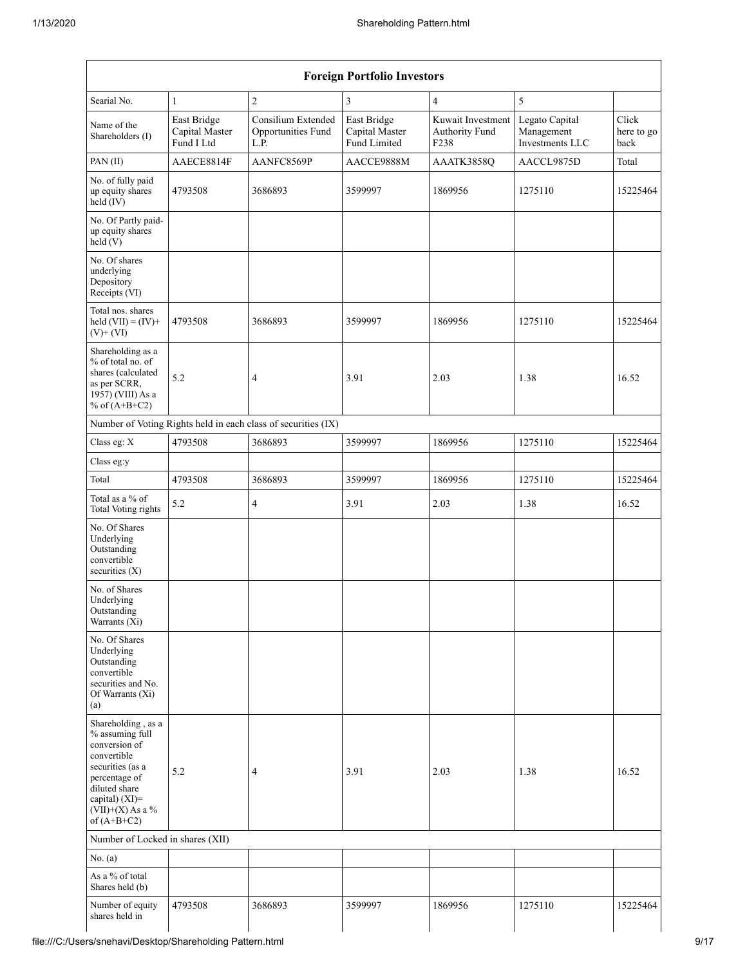| <b>Foreign Portfolio Investors</b>                                                                                                                                                   |                                             |                                                               |                                               |                                                         |                                                 |                             |  |  |  |
|--------------------------------------------------------------------------------------------------------------------------------------------------------------------------------------|---------------------------------------------|---------------------------------------------------------------|-----------------------------------------------|---------------------------------------------------------|-------------------------------------------------|-----------------------------|--|--|--|
| Searial No.                                                                                                                                                                          | $\mathbf{1}$                                | $\overline{c}$                                                | 3                                             | $\overline{4}$                                          | 5                                               |                             |  |  |  |
| Name of the<br>Shareholders (I)                                                                                                                                                      | East Bridge<br>Capital Master<br>Fund I Ltd | Consilium Extended<br>Opportunities Fund<br>L.P.              | East Bridge<br>Capital Master<br>Fund Limited | Kuwait Investment<br>Authority Fund<br>F <sub>238</sub> | Legato Capital<br>Management<br>Investments LLC | Click<br>here to go<br>back |  |  |  |
| PAN (II)                                                                                                                                                                             | AAECE8814F                                  | AANFC8569P                                                    | AACCE9888M                                    | AAATK3858Q                                              | AACCL9875D                                      | Total                       |  |  |  |
| No. of fully paid<br>up equity shares<br>$held$ $(V)$                                                                                                                                | 4793508                                     | 3686893                                                       | 3599997                                       | 1869956                                                 | 1275110                                         | 15225464                    |  |  |  |
| No. Of Partly paid-<br>up equity shares<br>held(V)                                                                                                                                   |                                             |                                                               |                                               |                                                         |                                                 |                             |  |  |  |
| No. Of shares<br>underlying<br>Depository<br>Receipts (VI)                                                                                                                           |                                             |                                                               |                                               |                                                         |                                                 |                             |  |  |  |
| Total nos. shares<br>held $(VII) = (IV) +$<br>$(V)$ + $(VI)$                                                                                                                         | 4793508                                     | 3686893                                                       | 3599997                                       | 1869956                                                 | 1275110                                         | 15225464                    |  |  |  |
| Shareholding as a<br>% of total no. of<br>shares (calculated<br>as per SCRR,<br>1957) (VIII) As a<br>% of $(A+B+C2)$                                                                 | 5.2                                         | $\overline{4}$                                                | 3.91                                          | 2.03                                                    | 1.38                                            | 16.52                       |  |  |  |
|                                                                                                                                                                                      |                                             | Number of Voting Rights held in each class of securities (IX) |                                               |                                                         |                                                 |                             |  |  |  |
| Class eg: X                                                                                                                                                                          | 4793508                                     | 3686893                                                       | 3599997                                       | 1869956                                                 | 1275110                                         | 15225464                    |  |  |  |
| Class eg:y                                                                                                                                                                           |                                             |                                                               |                                               |                                                         |                                                 |                             |  |  |  |
| Total                                                                                                                                                                                | 4793508                                     | 3686893                                                       | 3599997                                       | 1869956                                                 | 1275110                                         | 15225464                    |  |  |  |
| Total as a $\%$ of<br><b>Total Voting rights</b>                                                                                                                                     | 5.2                                         | $\overline{4}$                                                | 3.91                                          | 2.03                                                    | 1.38                                            | 16.52                       |  |  |  |
| No. Of Shares<br>Underlying<br>Outstanding<br>convertible<br>securities $(X)$                                                                                                        |                                             |                                                               |                                               |                                                         |                                                 |                             |  |  |  |
| No. of Shares<br>Underlying<br>Outstanding<br>Warrants (Xi)                                                                                                                          |                                             |                                                               |                                               |                                                         |                                                 |                             |  |  |  |
| No. Of Shares<br>Underlying<br>Outstanding<br>convertible<br>securities and No.<br>Of Warrants (Xi)<br>(a)                                                                           |                                             |                                                               |                                               |                                                         |                                                 |                             |  |  |  |
| Shareholding, as a<br>% assuming full<br>conversion of<br>convertible<br>securities (as a<br>percentage of<br>diluted share<br>capital) (XI)=<br>$(VII)+(X)$ As a %<br>of $(A+B+C2)$ | 5.2                                         | 4                                                             | 3.91                                          | 2.03                                                    | 1.38                                            | 16.52                       |  |  |  |
| Number of Locked in shares (XII)                                                                                                                                                     |                                             |                                                               |                                               |                                                         |                                                 |                             |  |  |  |
| No. $(a)$                                                                                                                                                                            |                                             |                                                               |                                               |                                                         |                                                 |                             |  |  |  |
| As a % of total<br>Shares held (b)                                                                                                                                                   |                                             |                                                               |                                               |                                                         |                                                 |                             |  |  |  |
| Number of equity<br>shares held in                                                                                                                                                   | 4793508                                     | 3686893                                                       | 3599997                                       | 1869956                                                 | 1275110                                         | 15225464                    |  |  |  |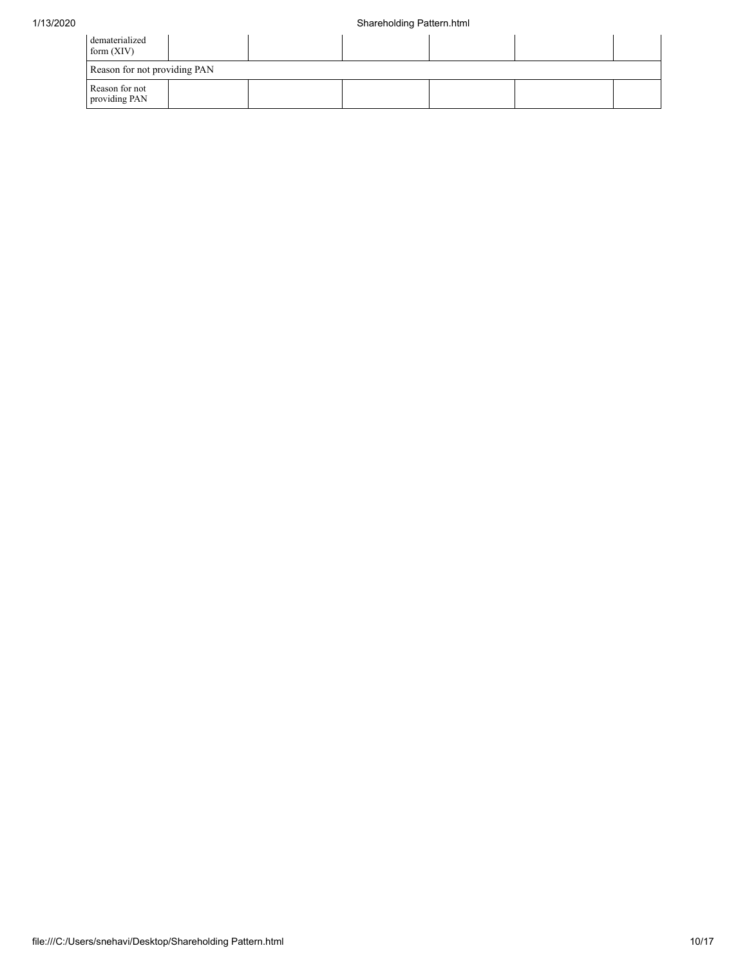| dematerialized<br>form $(XIV)$  |  |  |  |  |  |  |  |  |
|---------------------------------|--|--|--|--|--|--|--|--|
| Reason for not providing PAN    |  |  |  |  |  |  |  |  |
| Reason for not<br>providing PAN |  |  |  |  |  |  |  |  |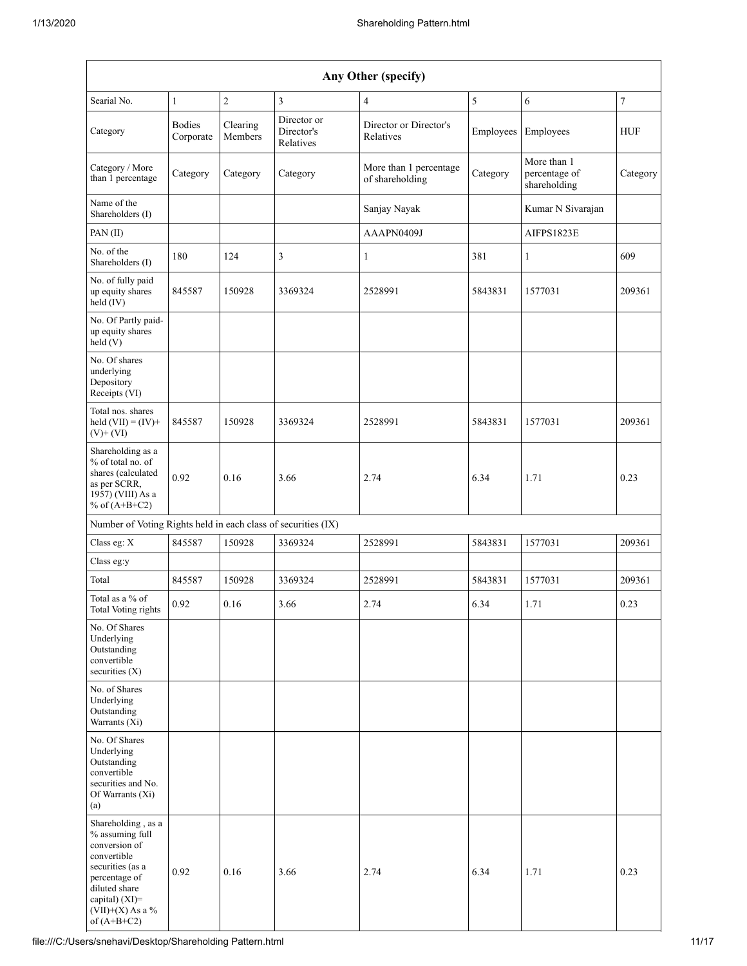| Any Other (specify)                                                                                                                                                                     |                            |                     |                                        |                                           |           |                                              |                |  |
|-----------------------------------------------------------------------------------------------------------------------------------------------------------------------------------------|----------------------------|---------------------|----------------------------------------|-------------------------------------------|-----------|----------------------------------------------|----------------|--|
| Searial No.                                                                                                                                                                             | $\mathbf{1}$               | $\overline{c}$      | 3                                      | 4                                         | 5         | 6                                            | $\overline{7}$ |  |
| Category                                                                                                                                                                                | <b>Bodies</b><br>Corporate | Clearing<br>Members | Director or<br>Director's<br>Relatives | Director or Director's<br>Relatives       | Employees | Employees                                    | HUF            |  |
| Category / More<br>than 1 percentage                                                                                                                                                    | Category                   | Category            | Category                               | More than 1 percentage<br>of shareholding | Category  | More than 1<br>percentage of<br>shareholding | Category       |  |
| Name of the<br>Shareholders (I)                                                                                                                                                         |                            |                     |                                        | Sanjay Nayak                              |           | Kumar N Sivarajan                            |                |  |
| PAN (II)                                                                                                                                                                                |                            |                     |                                        | AAAPN0409J                                |           | AIFPS1823E                                   |                |  |
| No. of the<br>Shareholders (I)                                                                                                                                                          | 180                        | 124                 | 3                                      | 1                                         | 381       | 1                                            | 609            |  |
| No. of fully paid<br>up equity shares<br>held (IV)                                                                                                                                      | 845587                     | 150928              | 3369324                                | 2528991                                   | 5843831   | 1577031                                      | 209361         |  |
| No. Of Partly paid-<br>up equity shares<br>held(V)                                                                                                                                      |                            |                     |                                        |                                           |           |                                              |                |  |
| No. Of shares<br>underlying<br>Depository<br>Receipts (VI)                                                                                                                              |                            |                     |                                        |                                           |           |                                              |                |  |
| Total nos. shares<br>held $(VII) = (IV) +$<br>$(V)$ + $(VI)$                                                                                                                            | 845587                     | 150928              | 3369324                                | 2528991                                   | 5843831   | 1577031                                      | 209361         |  |
| Shareholding as a<br>% of total no. of<br>shares (calculated<br>as per SCRR,<br>1957) (VIII) As a<br>% of $(A+B+C2)$                                                                    | 0.92                       | 0.16                | 3.66                                   | 2.74                                      | 6.34      | 1.71                                         | 0.23           |  |
| Number of Voting Rights held in each class of securities (IX)                                                                                                                           |                            |                     |                                        |                                           |           |                                              |                |  |
| Class eg: X                                                                                                                                                                             | 845587                     | 150928              | 3369324                                | 2528991                                   | 5843831   | 1577031                                      | 209361         |  |
| Class eg:y                                                                                                                                                                              |                            |                     |                                        |                                           |           |                                              |                |  |
| Total                                                                                                                                                                                   | 845587                     | 150928              | 3369324                                | 2528991                                   | 5843831   | 1577031                                      | 209361         |  |
| Total as a % of<br>Total Voting rights                                                                                                                                                  | 0.92                       | 0.16                | 3.66                                   | 2.74                                      | 6.34      | 1.71                                         | 0.23           |  |
| No. Of Shares<br>Underlying<br>Outstanding<br>convertible<br>securities $(X)$                                                                                                           |                            |                     |                                        |                                           |           |                                              |                |  |
| No. of Shares<br>Underlying<br>Outstanding<br>Warrants $(X_i)$                                                                                                                          |                            |                     |                                        |                                           |           |                                              |                |  |
| No. Of Shares<br>Underlying<br>Outstanding<br>convertible<br>securities and No.<br>Of Warrants (Xi)<br>(a)                                                                              |                            |                     |                                        |                                           |           |                                              |                |  |
| Shareholding, as a<br>% assuming full<br>conversion of<br>convertible<br>securities (as a<br>percentage of<br>diluted share<br>capital) $(XI)$ =<br>$(VII)+(X)$ As a %<br>of $(A+B+C2)$ | 0.92                       | 0.16                | 3.66                                   | 2.74                                      | 6.34      | 1.71                                         | 0.23           |  |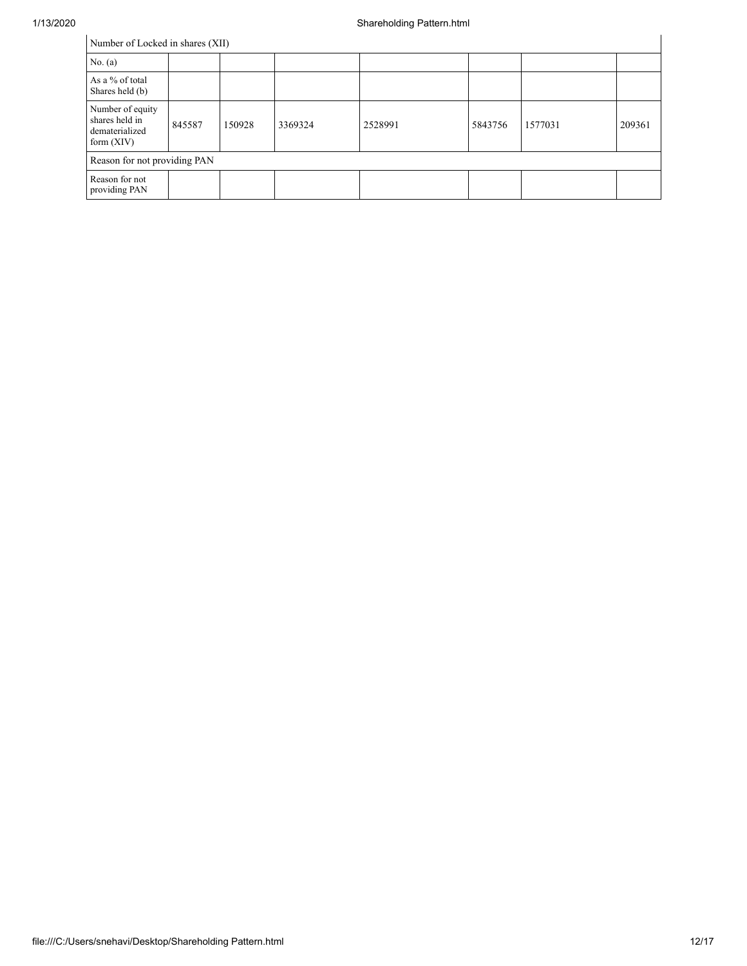| Number of Locked in shares (XII) |  |  |
|----------------------------------|--|--|
|----------------------------------|--|--|

| Number of Locked in shares (XII)                                     |        |        |         |         |         |         |        |
|----------------------------------------------------------------------|--------|--------|---------|---------|---------|---------|--------|
| No. (a)                                                              |        |        |         |         |         |         |        |
| As a % of total<br>Shares held (b)                                   |        |        |         |         |         |         |        |
| Number of equity<br>shares held in<br>dematerialized<br>form $(XIV)$ | 845587 | 150928 | 3369324 | 2528991 | 5843756 | 1577031 | 209361 |
| Reason for not providing PAN                                         |        |        |         |         |         |         |        |
| Reason for not<br>providing PAN                                      |        |        |         |         |         |         |        |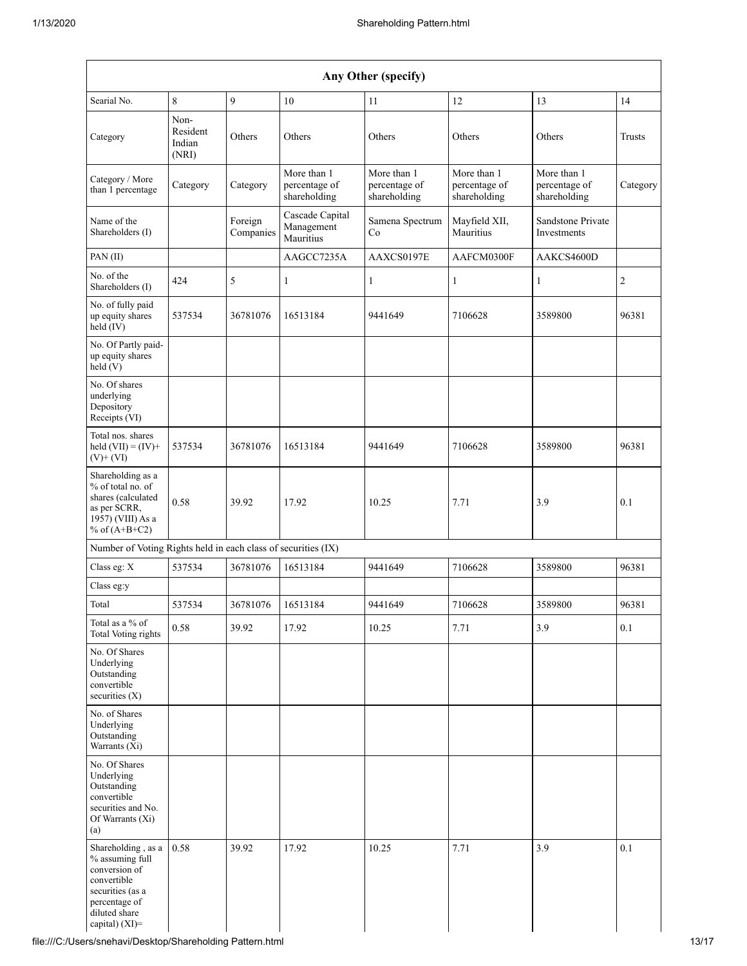| Any Other (specify)                                                                                                                           |                                     |                      |                                              |                                              |                                              |                                              |                |
|-----------------------------------------------------------------------------------------------------------------------------------------------|-------------------------------------|----------------------|----------------------------------------------|----------------------------------------------|----------------------------------------------|----------------------------------------------|----------------|
| Searial No.                                                                                                                                   | 8                                   | 9                    | $10\,$                                       | 11                                           | 12                                           | 13                                           | 14             |
| Category                                                                                                                                      | Non-<br>Resident<br>Indian<br>(NRI) | Others               | Others                                       | Others                                       | Others                                       | Others                                       | Trusts         |
| Category / More<br>than 1 percentage                                                                                                          | Category                            | Category             | More than 1<br>percentage of<br>shareholding | More than 1<br>percentage of<br>shareholding | More than 1<br>percentage of<br>shareholding | More than 1<br>percentage of<br>shareholding | Category       |
| Name of the<br>Shareholders (I)                                                                                                               |                                     | Foreign<br>Companies | Cascade Capital<br>Management<br>Mauritius   | Samena Spectrum<br>Co                        | Mayfield XII,<br>Mauritius                   | Sandstone Private<br>Investments             |                |
| PAN (II)                                                                                                                                      |                                     |                      | AAGCC7235A                                   | AAXCS0197E                                   | AAFCM0300F                                   | AAKCS4600D                                   |                |
| No. of the<br>Shareholders (I)                                                                                                                | 424                                 | 5                    | $\mathbf{1}$                                 | 1                                            | 1                                            | 1                                            | $\overline{c}$ |
| No. of fully paid<br>up equity shares<br>held (IV)                                                                                            | 537534                              | 36781076             | 16513184                                     | 9441649                                      | 7106628                                      | 3589800                                      | 96381          |
| No. Of Partly paid-<br>up equity shares<br>held(V)                                                                                            |                                     |                      |                                              |                                              |                                              |                                              |                |
| No. Of shares<br>underlying<br>Depository<br>Receipts (VI)                                                                                    |                                     |                      |                                              |                                              |                                              |                                              |                |
| Total nos. shares<br>held $(VII) = (IV) +$<br>$(V)$ + $(VI)$                                                                                  | 537534                              | 36781076             | 16513184                                     | 9441649                                      | 7106628                                      | 3589800                                      | 96381          |
| Shareholding as a<br>% of total no. of<br>shares (calculated<br>as per SCRR,<br>1957) (VIII) As a<br>% of $(A+B+C2)$                          | 0.58                                | 39.92                | 17.92                                        | 10.25                                        | 7.71                                         | 3.9                                          | 0.1            |
| Number of Voting Rights held in each class of securities (IX)                                                                                 |                                     |                      |                                              |                                              |                                              |                                              |                |
| Class eg: X                                                                                                                                   | 537534                              | 36781076             | 16513184                                     | 9441649                                      | 7106628                                      | 3589800                                      | 96381          |
| Class eg:y                                                                                                                                    |                                     |                      |                                              |                                              |                                              |                                              |                |
| Total                                                                                                                                         | 537534                              | 36781076             | 16513184                                     | 9441649                                      | 7106628                                      | 3589800                                      | 96381          |
| Total as a % of<br><b>Total Voting rights</b>                                                                                                 | 0.58                                | 39.92                | 17.92                                        | 10.25                                        | 7.71                                         | 3.9                                          | 0.1            |
| No. Of Shares<br>Underlying<br>Outstanding<br>convertible<br>securities (X)                                                                   |                                     |                      |                                              |                                              |                                              |                                              |                |
| No. of Shares<br>Underlying<br>Outstanding<br>Warrants (Xi)                                                                                   |                                     |                      |                                              |                                              |                                              |                                              |                |
| No. Of Shares<br>Underlying<br>Outstanding<br>convertible<br>securities and No.<br>Of Warrants (Xi)<br>(a)                                    |                                     |                      |                                              |                                              |                                              |                                              |                |
| Shareholding, as a<br>% assuming full<br>conversion of<br>convertible<br>securities (as a<br>percentage of<br>diluted share<br>capital) (XI)= | 0.58                                | 39.92                | 17.92                                        | 10.25                                        | 7.71                                         | 3.9                                          | 0.1            |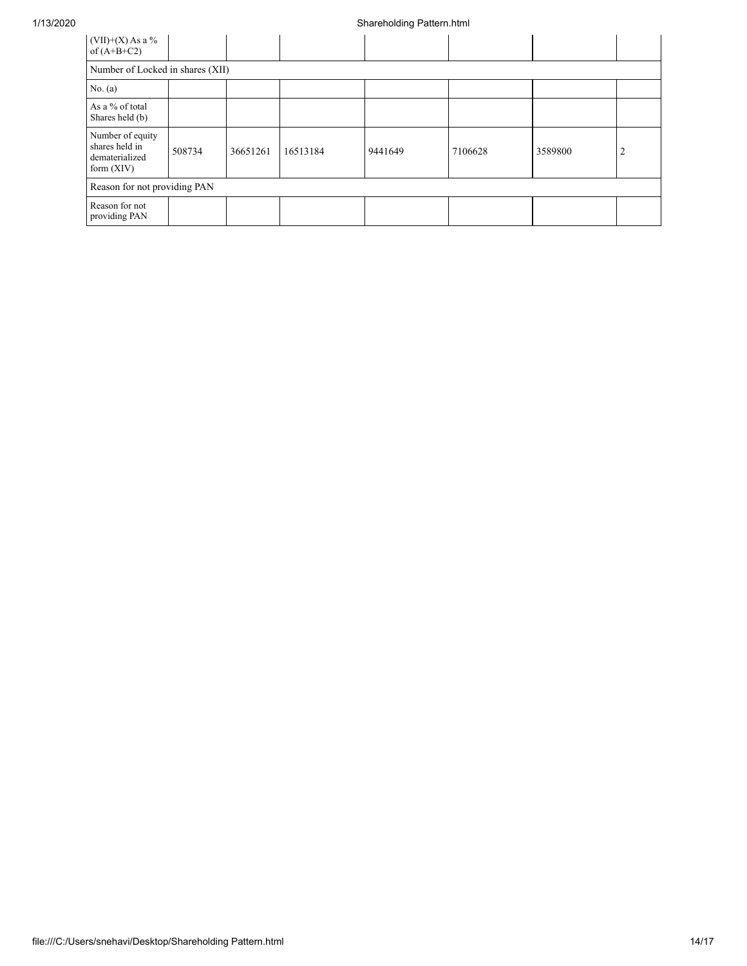| (VII)+(X) As a %<br>of $(A+B+C2)$                                    |        |          |          |         |         |         |   |
|----------------------------------------------------------------------|--------|----------|----------|---------|---------|---------|---|
| Number of Locked in shares (XII)                                     |        |          |          |         |         |         |   |
| No. $(a)$                                                            |        |          |          |         |         |         |   |
| As a % of total<br>Shares held (b)                                   |        |          |          |         |         |         |   |
| Number of equity<br>shares held in<br>dematerialized<br>form $(XIV)$ | 508734 | 36651261 | 16513184 | 9441649 | 7106628 | 3589800 | 2 |
| Reason for not providing PAN                                         |        |          |          |         |         |         |   |
| Reason for not<br>providing PAN                                      |        |          |          |         |         |         |   |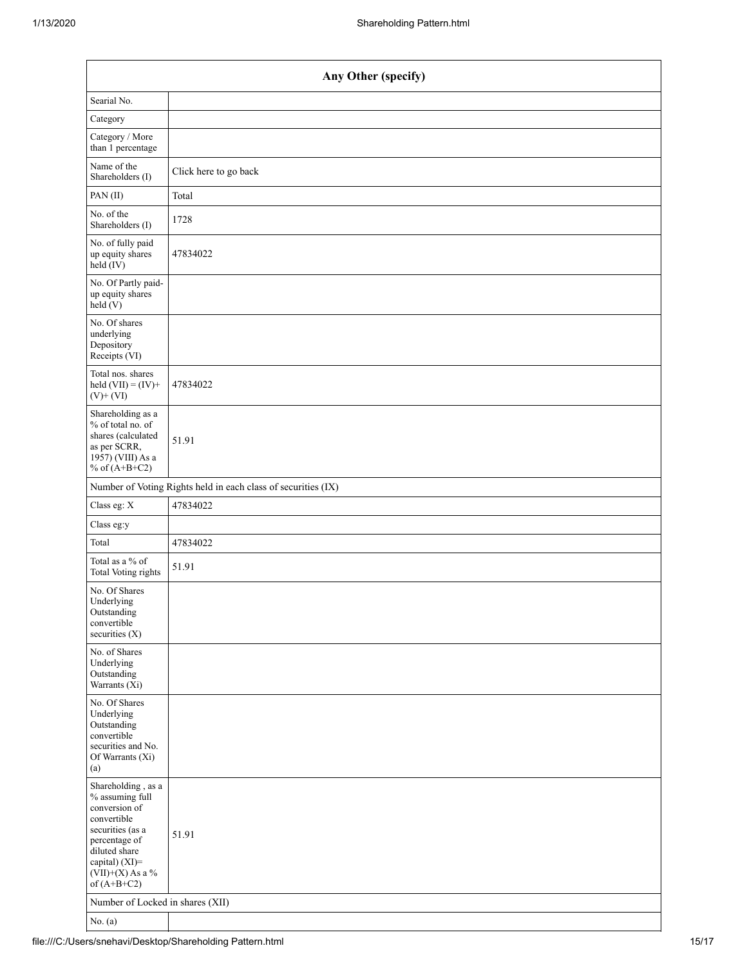| Any Other (specify)                                                                                                                                                                  |                                                               |  |  |  |  |  |  |
|--------------------------------------------------------------------------------------------------------------------------------------------------------------------------------------|---------------------------------------------------------------|--|--|--|--|--|--|
| Searial No.                                                                                                                                                                          |                                                               |  |  |  |  |  |  |
| Category                                                                                                                                                                             |                                                               |  |  |  |  |  |  |
| Category / More<br>than 1 percentage                                                                                                                                                 |                                                               |  |  |  |  |  |  |
| Name of the<br>Shareholders (I)                                                                                                                                                      | Click here to go back                                         |  |  |  |  |  |  |
| PAN(II)                                                                                                                                                                              | Total                                                         |  |  |  |  |  |  |
| No. of the<br>Shareholders (I)                                                                                                                                                       | 1728                                                          |  |  |  |  |  |  |
| No. of fully paid<br>up equity shares<br>$\text{held}(\text{IV})$                                                                                                                    | 47834022                                                      |  |  |  |  |  |  |
| No. Of Partly paid-<br>up equity shares<br>held(V)                                                                                                                                   |                                                               |  |  |  |  |  |  |
| No. Of shares<br>underlying<br>Depository<br>Receipts (VI)                                                                                                                           |                                                               |  |  |  |  |  |  |
| Total nos. shares<br>held $(VII) = (IV) +$<br>$(V)$ + $(VI)$                                                                                                                         | 47834022                                                      |  |  |  |  |  |  |
| Shareholding as a<br>% of total no. of<br>shares (calculated<br>as per SCRR,<br>1957) (VIII) As a<br>% of $(A+B+C2)$                                                                 | 51.91                                                         |  |  |  |  |  |  |
|                                                                                                                                                                                      | Number of Voting Rights held in each class of securities (IX) |  |  |  |  |  |  |
| Class eg: X                                                                                                                                                                          | 47834022                                                      |  |  |  |  |  |  |
| Class eg:y                                                                                                                                                                           |                                                               |  |  |  |  |  |  |
| Total                                                                                                                                                                                | 47834022                                                      |  |  |  |  |  |  |
| Total as a % of<br><b>Total Voting rights</b>                                                                                                                                        | 51.91                                                         |  |  |  |  |  |  |
| No. Of Shares<br>Underlying<br>Outstanding<br>convertible<br>securities (X)                                                                                                          |                                                               |  |  |  |  |  |  |
| No. of Shares<br>Underlying<br>Outstanding<br>Warrants $(X_i)$                                                                                                                       |                                                               |  |  |  |  |  |  |
| No. Of Shares<br>Underlying<br>Outstanding<br>convertible<br>securities and No.<br>Of Warrants (Xi)<br>(a)                                                                           |                                                               |  |  |  |  |  |  |
| Shareholding, as a<br>% assuming full<br>conversion of<br>convertible<br>securities (as a<br>percentage of<br>diluted share<br>capital) (XI)=<br>$(VII)+(X)$ As a %<br>of $(A+B+C2)$ | 51.91                                                         |  |  |  |  |  |  |
| Number of Locked in shares (XII)                                                                                                                                                     |                                                               |  |  |  |  |  |  |
| No. $(a)$                                                                                                                                                                            |                                                               |  |  |  |  |  |  |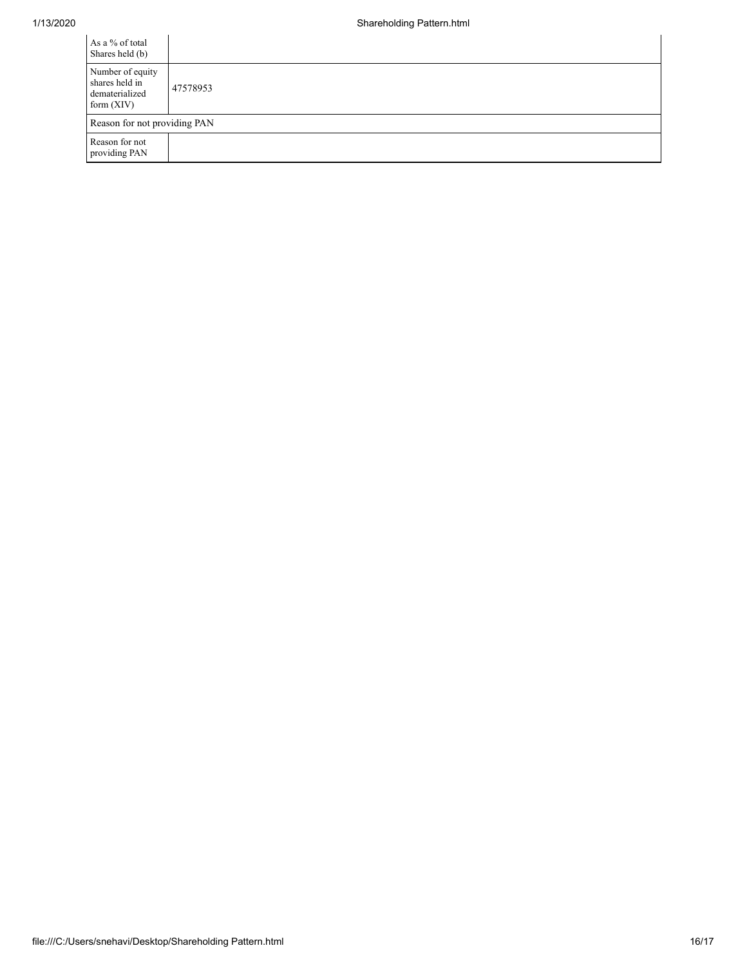| As a % of total<br>Shares held (b)                                   |          |
|----------------------------------------------------------------------|----------|
| Number of equity<br>shares held in<br>dematerialized<br>form $(XIV)$ | 47578953 |
| Reason for not providing PAN                                         |          |
| Reason for not<br>providing PAN                                      |          |